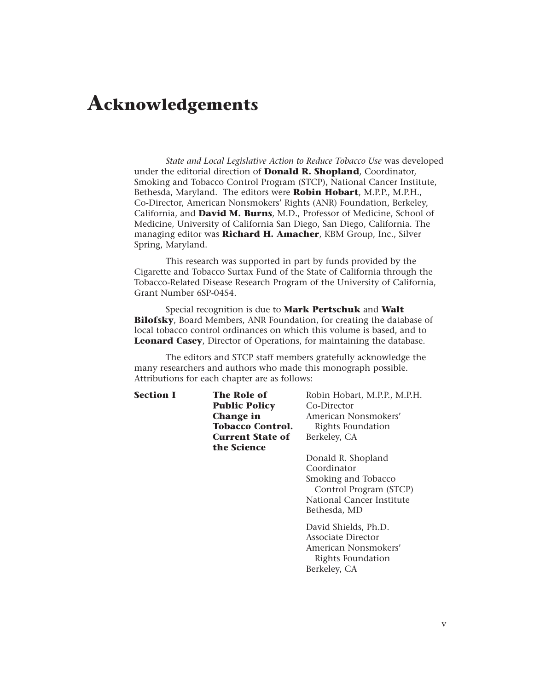## **Acknowledgements**

*State and Local Legislative Action to Reduce Tobacco Use* was developed under the editorial direction of **Donald R. Shopland**, Coordinator, Smoking and Tobacco Control Program (STCP), National Cancer Institute, Bethesda, Maryland. The editors were **Robin Hobart**, M.P.P., M.P.H., Co-Director, American Nonsmokers' Rights (ANR) Foundation, Berkeley, California, and **David M. Burns**, M.D., Professor of Medicine, School of Medicine, University of California San Diego, San Diego, California. The managing editor was **Richard H. Amacher**, KBM Group, Inc., Silver Spring, Maryland.

This research was supported in part by funds provided by the Cigarette and Tobacco Surtax Fund of the State of California through the Tobacco-Related Disease Research Program of the University of California, Grant Number 6SP-0454.

Special recognition is due to **Mark Pertschuk** and **Walt Bilofsky**, Board Members, ANR Foundation, for creating the database of local tobacco control ordinances on which this volume is based, and to **Leonard Casey**, Director of Operations, for maintaining the database.

The editors and STCP staff members gratefully acknowledge the many researchers and authors who made this monograph possible. Attributions for each chapter are as follows:

| Section I | <b>The Role of</b>      | Robin Hobart, M.P.P., M.P.H. |
|-----------|-------------------------|------------------------------|
|           | <b>Public Policy</b>    | Co-Director                  |
|           | <b>Change in</b>        | American Nonsmokers'         |
|           | <b>Tobacco Control.</b> | Rights Foundation            |
|           | <b>Current State of</b> | Berkeley, CA                 |
|           | the Science             |                              |
|           |                         | Donald R. Shopland           |
|           |                         | Coordinator                  |
|           |                         | Smoking and Tobacco          |
|           |                         | Control Program (STCP)       |
|           |                         | National Cancer Institute    |
|           |                         | Bethesda, MD                 |
|           |                         | David Shields, Ph.D.         |
|           |                         | Associate Director           |
|           |                         | American Nonsmokers'         |
|           |                         | Rights Foundation            |
|           |                         | Berkeley, CA                 |
|           |                         |                              |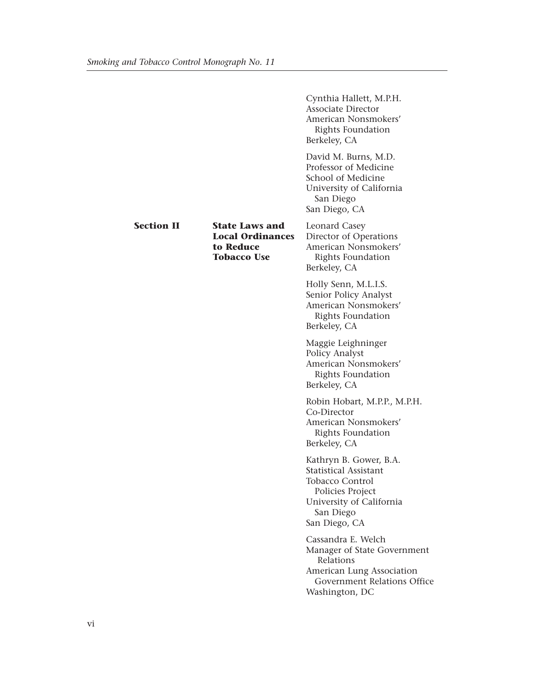|                   |                                                                                     | Cynthia Hallett, M.P.H.<br><b>Associate Director</b><br>American Nonsmokers'<br>Rights Foundation<br>Berkeley, CA                                       |
|-------------------|-------------------------------------------------------------------------------------|---------------------------------------------------------------------------------------------------------------------------------------------------------|
|                   |                                                                                     | David M. Burns, M.D.<br>Professor of Medicine<br>School of Medicine<br>University of California<br>San Diego<br>San Diego, CA                           |
| <b>Section II</b> | <b>State Laws and</b><br><b>Local Ordinances</b><br>to Reduce<br><b>Tobacco Use</b> | Leonard Casey<br>Director of Operations<br>American Nonsmokers'<br>Rights Foundation<br>Berkeley, CA                                                    |
|                   |                                                                                     | Holly Senn, M.L.I.S.<br>Senior Policy Analyst<br>American Nonsmokers'<br>Rights Foundation<br>Berkeley, CA                                              |
|                   |                                                                                     | Maggie Leighninger<br>Policy Analyst<br>American Nonsmokers'<br>Rights Foundation<br>Berkeley, CA                                                       |
|                   |                                                                                     | Robin Hobart, M.P.P., M.P.H.<br>Co-Director<br>American Nonsmokers'<br>Rights Foundation<br>Berkeley, CA                                                |
|                   |                                                                                     | Kathryn B. Gower, B.A.<br><b>Statistical Assistant</b><br>Tobacco Control<br>Policies Project<br>University of California<br>San Diego<br>San Diego, CA |
|                   |                                                                                     | Cassandra E. Welch<br>Manager of State Government<br>Relations<br>American Lung Association<br>Government Relations Office<br>Washington, DC            |